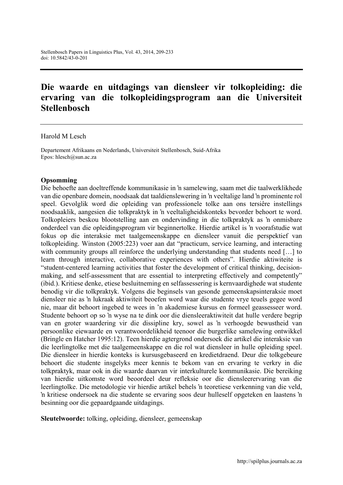# Die waarde en uitdagings van diensleer vir tolkopleiding: die ervaring van die tolkopleidingsprogram aan die Universiteit **Stellenbosch**

#### Harold M Lesch

Departement Afrikaans en Nederlands, Universiteit Stellenbosch, Suid-Afrika Epos: [hlesch@sun.ac.za](mailto:hlesch@sun.ac.za)

#### Opsomming

Die behoefte aan doeltreffende kommunikasie in 'n samelewing, saam met die taalwerklikhede van die openbare domein, noodsaak dat taaldienslewering in 'n veeltalige land 'n prominente rol speel. Gevolglik word die opleiding van professionele tolke aan ons tersiêre instellings noodsaaklik, aangesien die tolkpraktyk in 'n veeltaligheidskonteks bevorder behoort te word. Tolkopleiers beskou blootstelling aan en ondervinding in die tolkpraktyk as 'n onmisbare onderdeel van die opleidingsprogram vir beginnertolke. Hierdie artikel is 'n voorafstudie wat fokus op die interaksie met taalgemeenskappe en diensleer vanuit die perspektief van tolkopleiding. Winston (2005:223) voer aan dat "practicum, service learning, and interacting with community groups all reinforce the underlying understanding that students need [...] to learn through interactive, collaborative experiences with others". Hierdie aktiwiteite is "student-centered learning activities that foster the development of critical thinking, decisionmaking, and self-assessment that are essential to interpreting effectively and competently" (ibid.). Kritiese denke, etiese besluitneming en selfassessering is kernvaardighede wat studente benodig vir die tolkpraktyk. Volgens die beginsels van gesonde gemeenskapsinteraksie moet diensleer nie as 'n lukraak aktiwiteit beoefen word waar die studente vrye teuels gegee word nie, maar dit behoort ingebed te wees in 'n akademiese kursus en formeel geassesseer word. Studente behoort op so 'n wyse na te dink oor die diensleeraktiwiteit dat hulle verdere begrip van en groter waardering vir die dissipline kry, sowel as 'n verhoogde bewustheid van persoonlike eiewaarde en verantwoordelikheid teenoor die burgerlike samelewing ontwikkel (Bringle en Hatcher 1995:12). Teen hierdie agtergrond ondersoek die artikel die interaksie van die leerlingtolke met die taalgemeenskappe en die rol wat diensleer in hulle opleiding speel. Die diensleer in hierdie konteks is kursusgebaseerd en kredietdraend. Deur die tolkgebeure behoort die studente insgelyks meer kennis te bekom van en ervaring te verkry in die tolkpraktyk, maar ook in die waarde daarvan vir interkulturele kommunikasie. Die bereiking van hierdie uitkomste word beoordeel deur refleksie oor die diensleerervaring van die leerlingtolke. Die metodologie vir hierdie artikel behels 'n teoretiese verkenning van die veld, 'n kritiese ondersoek na die studente se ervaring soos deur hulleself opgeteken en laastens 'n besinning oor die gepaardgaande uitdagings.

Sleutelwoorde: tolking, opleiding, diensleer, gemeenskap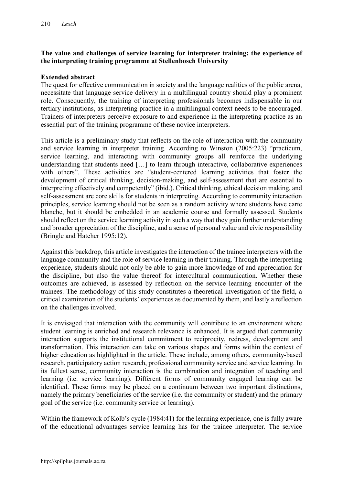### The value and challenges of service learning for interpreter training: the experience of the interpreting training programme at Stellenbosch University

### Extended abstract

The quest for effective communication in society and the language realities of the public arena, necessitate that language service delivery in a multilingual country should play a prominent role. Consequently, the training of interpreting professionals becomes indispensable in our tertiary institutions, as interpreting practice in a multilingual context needs to be encouraged. Trainers of interpreters perceive exposure to and experience in the interpreting practice as an essential part of the training programme of these novice interpreters.

This article is a preliminary study that reflects on the role of interaction with the community and service learning in interpreter training. According to Winston (2005:223) "practicum, service learning, and interacting with community groups all reinforce the underlying understanding that students need […] to learn through interactive, collaborative experiences with others". These activities are "student-centered learning activities that foster the development of critical thinking, decision-making, and self-assessment that are essential to interpreting effectively and competently" (ibid.). Critical thinking, ethical decision making, and self-assessment are core skills for students in interpreting. According to community interaction principles, service learning should not be seen as a random activity where students have carte blanche, but it should be embedded in an academic course and formally assessed. Students should reflect on the service learning activity in such a way that they gain further understanding and broader appreciation of the discipline, and a sense of personal value and civic responsibility (Bringle and Hatcher 1995:12).

Against this backdrop, this article investigates the interaction of the trainee interpreters with the language community and the role of service learning in their training. Through the interpreting experience, students should not only be able to gain more knowledge of and appreciation for the discipline, but also the value thereof for intercultural communication. Whether these outcomes are achieved, is assessed by reflection on the service learning encounter of the trainees. The methodology of this study constitutes a theoretical investigation of the field, a critical examination of the students' experiences as documented by them, and lastly a reflection on the challenges involved.

It is envisaged that interaction with the community will contribute to an environment where student learning is enriched and research relevance is enhanced. It is argued that community interaction supports the institutional commitment to reciprocity, redress, development and transformation. This interaction can take on various shapes and forms within the context of higher education as highlighted in the article. These include, among others, community-based research, participatory action research, professional community service and service learning. In its fullest sense, community interaction is the combination and integration of teaching and learning (i.e. service learning). Different forms of community engaged learning can be identified. These forms may be placed on a continuum between two important distinctions, namely the primary beneficiaries of the service (i.e. the community or student) and the primary goal of the service (i.e. community service or learning).

Within the framework of Kolb's cycle (1984:41) for the learning experience, one is fully aware of the educational advantages service learning has for the trainee interpreter. The service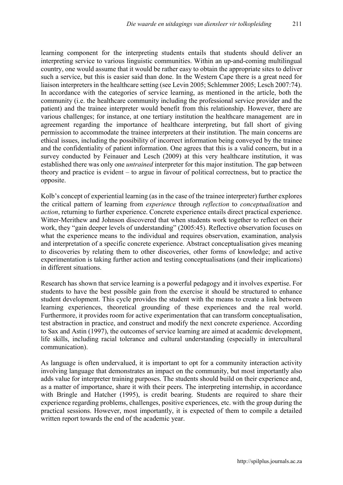learning component for the interpreting students entails that students should deliver an interpreting service to various linguistic communities. Within an up-and-coming multilingual country, one would assume that it would be rather easy to obtain the appropriate sites to deliver such a service, but this is easier said than done. In the Western Cape there is a great need for liaison interpreters in the healthcare setting (see Levin 2005; Schlemmer 2005; Lesch 2007:74). In accordance with the categories of service learning, as mentioned in the article, both the community (i.e. the healthcare community including the professional service provider and the patient) and the trainee interpreter would benefit from this relationship. However, there are various challenges; for instance, at one tertiary institution the healthcare management are in agreement regarding the importance of healthcare interpreting, but fall short of giving permission to accommodate the trainee interpreters at their institution. The main concerns are ethical issues, including the possibility of incorrect information being conveyed by the trainee and the confidentiality of patient information. One agrees that this is a valid concern, but in a survey conducted by Feinauer and Lesch (2009) at this very healthcare institution, it was established there was only one *untrained* interpreter for this major institution. The gap between theory and practice is evident – to argue in favour of political correctness, but to practice the opposite.

Kolb's concept of experiential learning (as in the case of the trainee interpreter) further explores the critical pattern of learning from *experience* through *reflection* to *conceptualisation* and *action*, returning to further experience. Concrete experience entails direct practical experience. Witter-Merithew and Johnson discovered that when students work together to reflect on their work, they "gain deeper levels of understanding" (2005:45). Reflective observation focuses on what the experience means to the individual and requires observation, examination, analysis and interpretation of a specific concrete experience. Abstract conceptualisation gives meaning to discoveries by relating them to other discoveries, other forms of knowledge; and active experimentation is taking further action and testing conceptualisations (and their implications) in different situations.

Research has shown that service learning is a powerful pedagogy and it involves expertise. For students to have the best possible gain from the exercise it should be structured to enhance student development. This cycle provides the student with the means to create a link between learning experiences, theoretical grounding of these experiences and the real world. Furthermore, it provides room for active experimentation that can transform conceptualisation, test abstraction in practice, and construct and modify the next concrete experience. According to Sax and Astin (1997), the outcomes of service learning are aimed at academic development, life skills, including racial tolerance and cultural understanding (especially in intercultural communication).

As language is often undervalued, it is important to opt for a community interaction activity involving language that demonstrates an impact on the community, but most importantly also adds value for interpreter training purposes. The students should build on their experience and, as a matter of importance, share it with their peers. The interpreting internship, in accordance with Bringle and Hatcher (1995), is credit bearing. Students are required to share their experience regarding problems, challenges, positive experiences, etc. with the group during the practical sessions. However, most importantly, it is expected of them to compile a detailed written report towards the end of the academic year.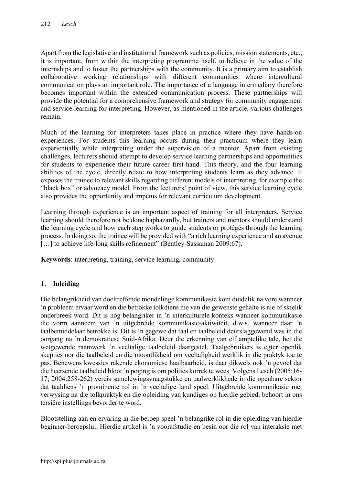Apart from the legislative and institutional framework such as policies, mission statements, etc., it is important, from within the interpreting programme itself, to believe in the value of the internships and to foster the partnerships with the community. It is a primary aim to establish collaborative working relationships with different communities where intercultural communication plays an important role. The importance of a language intermediary therefore becomes important within the extended communication process. These partnerships will provide the potential for a comprehensive framework and strategy for community engagement and service learning for interpreting. However, as mentioned in the article, various challenges remain.

Much of the learning for interpreters takes place in practice where they have hands-on experiences. For students this learning occurs during their practicum where they learn experientially while interpreting under the supervision of a mentor. Apart from existing challenges, lecturers should attempt to develop service learning partnerships and opportunities for students to experience their future career first-hand. This theory, and the four learning abilities of the cycle, directly relate to how interpreting students learn as they advance. It exposes the trainee to relevant skills regarding different models of interpreting, for example the "black box" or advocacy model. From the lecturers' point of view, this service learning cycle also provides the opportunity and impetus for relevant curriculum development.

Learning through experience is an important aspect of training for all interpreters. Service learning should therefore not be done haphazardly, but trainers and mentors should understand the learning cycle and how each step works to guide students or protégés through the learning process. In doing so, the trainee will be provided with "a rich learning experience and an avenue [...] to achieve life-long skills refinement" (Bentley-Sassaman 2009:67).

Keywords: interpreting, training, service learning, community

### 1. Inleiding

Die belangrikheid van doeltreffende mondelinge kommunikasie kom duidelik na vore wanneer 'n probleem ervaar word en die betrokke tolkdiens nie van die gewenste gehalte is nie of skielik onderbreek word. Dit is nóg belangriker in 'n interkulturele konteks wanneer kommunikasie die vorm aanneem van 'n uitgebreide kommunikasie-aktiwiteit, d.w.s. wanneer daar 'n taalbemiddelaar betrokke is. Dit is 'n gegewe dat taal en taalbeleid deurslaggewend was in die oorgang na 'n demokratiese Suid-Afrika. Deur die erkenning van elf amptelike tale, het die wetgewende raamwerk 'n veeltalige taalbeleid daargestel. Taalgebruikers is egter openlik skepties oor die taalbeleid en die moontlikheid om veeltaligheid werklik in die praktyk toe te pas. Benewens kwessies rakende ekonomiese haalbaarheid, is daar dikwels ook 'n gevoel dat die heersende taalbeleid bloot 'n poging is om polities korrek te wees. Volgens Lesch (2005:16- 17; 2004:258-262) vereis samelewingsvraagstukke en taalwerklikhede in die openbare sektor dat taaldiens 'n prominente rol in 'n veeltalige land speel. Uitgebreide kommunikasie met verwysing na die tolkpraktyk en die opleiding van kundiges op hierdie gebied, behoort in ons tersiêre instellings bevorder te word.

Blootstelling aan en ervaring in die beroep speel 'n belangrike rol in die opleiding van hierdie beginner-beroepslui. Hierdie artikel is 'n voorafstudie en besin oor die rol van interaksie met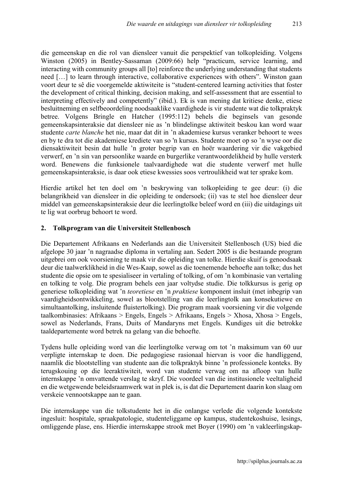die gemeenskap en die rol van diensleer vanuit die perspektief van tolkopleiding. Volgens Winston (2005) in Bentley-Sassaman (2009:66) help "practicum, service learning, and interacting with community groups all [to] reinforce the underlying understanding that students need […] to learn through interactive, collaborative experiences with others". Winston gaan voort deur te sê die voorgemelde aktiwiteite is "student-centered learning activities that foster the development of critical thinking, decision making, and self-assessment that are essential to interpreting effectively and competently" (ibid.). Ek is van mening dat kritiese denke, etiese besluitneming en selfbeoordeling noodsaaklike vaardighede is vir studente wat die tolkpraktyk betree. Volgens Bringle en Hatcher (1995:112) behels die beginsels van gesonde gemeenskapsinteraksie dat diensleer nie as 'n blindelingse aktiwiteit beskou kan word waar studente *carte blanche* het nie, maar dat dit in 'n akademiese kursus veranker behoort te wees en by te dra tot die akademiese krediete van so 'n kursus. Studente moet op so 'n wyse oor die diensaktiwiteit besin dat hulle 'n groter begrip van en hoër waardering vir die vakgebied verwerf, en 'n sin van persoonlike waarde en burgerlike verantwoordelikheid by hulle versterk word. Benewens die funksionele taalvaardighede wat die studente verwerf met hulle gemeenskapsinteraksie, is daar ook etiese kwessies soos vertroulikheid wat ter sprake kom.

Hierdie artikel het ten doel om 'n beskrywing van tolkopleiding te gee deur: (i) die belangrikheid van diensleer in die opleiding te ondersoek; (ii) vas te stel hoe diensleer deur middel van gemeenskapsinteraksie deur die leerlingtolke beleef word en (iii) die uitdagings uit te lig wat oorbrug behoort te word.

### 2. Tolkprogram van die Universiteit Stellenbosch

Die Departement Afrikaans en Nederlands aan die Universiteit Stellenbosch (US) bied die afgelope 30 jaar 'n nagraadse diploma in vertaling aan. Sedert 2005 is die bestaande program uitgebrei om ook voorsiening te maak vir die opleiding van tolke. Hierdie skuif is genoodsaak deur die taalwerklikheid in die Wes-Kaap, sowel as die toenemende behoefte aan tolke; dus het studente die opsie om te spesialiseer in vertaling of tolking, of om 'n kombinasie van vertaling en tolking te volg. Die program behels een jaar voltydse studie. Die tolkkursus is gerig op generiese tolkopleiding wat 'n *teoretiese* en 'n *praktiese* komponent insluit (met inbegrip van vaardigheidsontwikkeling, sowel as blootstelling van die leerlingtolk aan konsekutiewe en simultaantolking, insluitende fluistertolking). Die program maak voorsiening vir die volgende taalkombinasies: Afrikaans > Engels, Engels > Afrikaans, Engels > Xhosa, Xhosa > Engels, sowel as Nederlands, Frans, Duits of Mandaryns met Engels. Kundiges uit die betrokke taaldepartemente word betrek na gelang van die behoefte.

Tydens hulle opleiding word van die leerlingtolke verwag om tot 'n maksimum van 60 uur verpligte internskap te doen. Die pedagogiese rasionaal hiervan is voor die handliggend, naamlik die blootstelling van studente aan die tolkpraktyk binne 'n professionele konteks. By terugskouing op die leeraktiwiteit, word van studente verwag om na afloop van hulle internskappe 'n omvattende verslag te skryf. Die voordeel van die institusionele veeltaligheid en die wetgewende beleidsraamwerk wat in plek is, is dat die Departement daarin kon slaag om verskeie vennootskappe aan te gaan.

Die internskappe van die tolkstudente het in die onlangse verlede die volgende kontekste ingesluit: hospitale, spraakpatologie, studenteliggame op kampus, studentekoshuise, lesings, omliggende plase, ens. Hierdie internskappe strook met Boyer (1990) om 'n vakleerlingskap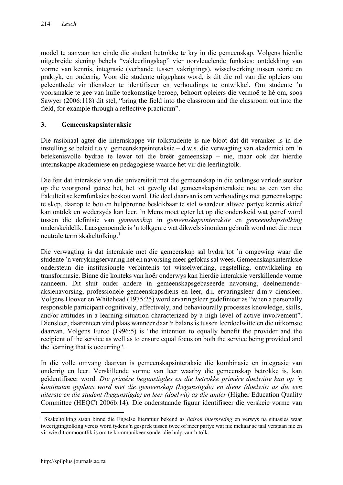model te aanvaar ten einde die student betrokke te kry in die gemeenskap. Volgens hierdie uitgebreide siening behels "vakleerlingskap" vier oorvleuelende funksies: ontdekking van vorme van kennis, integrasie (verbande tussen vakrigtings), wisselwerking tussen teorie en praktyk, en onderrig. Voor die studente uitgeplaas word, is dit die rol van die opleiers om geleenthede vir diensleer te identifiseer en verhoudings te ontwikkel. Om studente 'n voorsmakie te gee van hulle toekomstige beroep, behoort opleiers die vermoë te hê om, soos Sawyer (2006:118) dit stel, "bring the field into the classroom and the classroom out into the field, for example through a reflective practicum".

### 3. Gemeenskapsinteraksie

Die rasionaal agter die internskappe vir tolkstudente is nie bloot dat dit veranker is in die instelling se beleid t.o.v. gemeenskapsinteraksie – d.w.s. die verwagting van akademici om 'n betekenisvolle bydrae te lewer tot die breër gemeenskap – nie, maar ook dat hierdie internskappe akademiese en pedagogiese waarde het vir die leerlingtolk.

Die feit dat interaksie van die universiteit met die gemeenskap in die onlangse verlede sterker op die voorgrond getree het, het tot gevolg dat gemeenskapsinteraksie nou as een van die Fakulteit se kernfunksies beskou word. Die doel daarvan is om verhoudings met gemeenskappe te skep, daarop te bou en hulpbronne beskikbaar te stel waardeur altwee partye kennis aktief kan ontdek en wedersyds kan leer. 'n Mens moet egter let op die onderskeid wat getref word tussen die definisie van *gemeenskap* in *gemeenskapsinteraksie* en *gemeenskapstolking* onderskeidelik. Laasgenoemde is 'n tolkgenre wat dikwels sinoniem gebruik word met die meer neutrale term skakeltolking. 1

Die verwagting is dat interaksie met die gemeenskap sal bydra tot 'n omgewing waar die studente 'n verrykingservaring het en navorsing meer gefokus sal wees. Gemeenskapsinteraksie ondersteun die institusionele verbintenis tot wisselwerking, regstelling, ontwikkeling en transformasie. Binne die konteks van hoër onderwys kan hierdie interaksie verskillende vorme aanneem. Dit sluit onder andere in gemeenskapsgebaseerde navorsing, deelnemendeaksienavorsing, professionele gemeenskapsdiens en leer, d.i. ervaringsleer d.m.v diensleer. Volgens Hoover en Whitehead (1975:25) word ervaringsleer gedefinieer as "when a personally responsible participant cognitively, affectively, and behaviourally processes knowledge, skills, and/or attitudes in a learning situation characterized by a high level of active involvement". Diensleer, daarenteen vind plaas wanneer daar 'n balans is tussen leerdoelwitte en die uitkomste daarvan. Volgens Furco (1996:5) is "the intention to equally benefit the provider and the recipient of the service as well as to ensure equal focus on both the service being provided and the learning that is occurring".

In die volle omvang daarvan is gemeenskapsinteraksie die kombinasie en integrasie van onderrig en leer. Verskillende vorme van leer waarby die gemeenskap betrokke is, kan geïdentifiseer word. *Die primêre begunstigdes en die betrokke primêre doelwitte kan op 'n kontinuum geplaas word met die gemeenskap (begunstigde) en diens (doelwit) as die een uiterste en die student (begunstigde) en leer (doelwit) as die ander* (Higher Education Quality Committee (HEQC) 2006b:14). Die onderstaande figuur identifiseer die verskeie vorme van

 <sup>1</sup> Skakeltolking staan binne die Engelse literatuur bekend as *liaison interpreting* en verwys na situasies waar tweerigtingtolking vereis word tydens 'n gesprek tussen twee of meer partye wat nie mekaar se taal verstaan nie en vir wie dit onmoontlik is om te kommunikeer sonder die hulp van 'n tolk.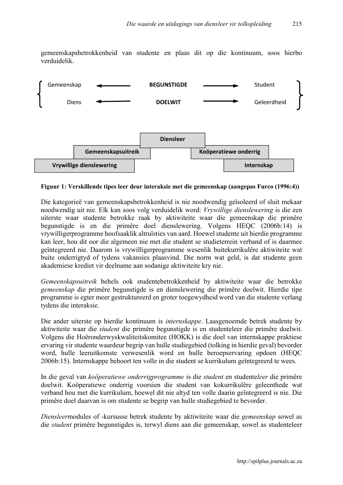gemeenskapsbetrokkenheid van studente en plaas dit op die kontinuum, soos hierbo verduidelik.



Figuur 1: Verskillende tipes leer deur interaksie met die gemeenskap (aangepas Furco (1996:4))

Die kategorieë van gemeenskapsbetrokkenheid is nie noodwendig geïsoleerd of sluit mekaar noodwendig uit nie. Elk kan soos volg verduidelik word: *Vrywillige dienslewering* is die een uiterste waar studente betrokke raak by aktiwiteite waar die gemeenskap die primêre begunstigde is en die primêre doel dienslewering. Volgens HEQC (2006b:14) is vrywilligerprogramme hoofsaaklik altruïsties van aard. Hoewel studente uit hierdie programme kan leer, hou dit oor die algemeen nie met die student se studieterrein verband of is daarmee geïntegreerd nie. Daarom is vrywilligerprogramme wesenlik buitekurrikulêre aktiwiteite wat buite onderrigtyd of tydens vakansies plaasvind. Die norm wat geld, is dat studente geen akademiese krediet vir deelname aan sodanige aktiwiteite kry nie.

*Gemeenskapsuitreik* behels ook studentebetrokkenheid by aktiwiteite waar die betrokke *gemeenskap* die primêre begunstigde is en dienslewering die primêre doelwit. Hierdie tipe programme is egter meer gestruktureerd en groter toegewydheid word van die studente verlang tydens die interaksie.

Die ander uiterste op hierdie kontinuum is *internskappe*. Laasgenoemde betrek studente by aktiwiteite waar die *student* die primêre begunstigde is en studenteleer die primêre doelwit. Volgens die Hoëronderwyskwaliteitskomitee (HOKK) is die doel van internskappe praktiese ervaring vir studente waardeur begrip van hulle studiegebied (tolking in hierdie geval) bevorder word, hulle leeruitkomste verwesenlik word en hulle beroepservaring opdoen (HEQC 2006b:15). Internskappe behoort ten volle in die student se kurrikulum geïntegreerd te wees.

In die geval van *koöperatiewe onderrigprogramme* is die *student* en studente*leer* die primêre doelwit. Koöperatiewe onderrig voorsien die student van kokurrikulêre geleenthede wat verband hou met die kurrikulum, hoewel dit nie altyd ten volle daarin geïntegreerd is nie. Die primêre doel daarvan is om studente se begrip van hulle studiegebied te bevorder.

*Diensleer*modules of -kursusse betrek studente by aktiwiteite waar die *gemeenskap* sowel as die *student* primêre begunstigdes is, terwyl diens aan die gemeenskap, sowel as studenteleer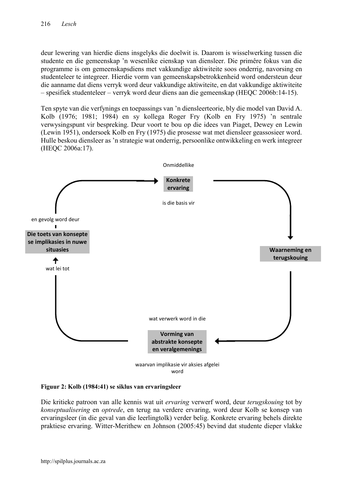deur lewering van hierdie diens insgelyks die doelwit is. Daarom is wisselwerking tussen die studente en die gemeenskap 'n wesenlike eienskap van diensleer. Die primêre fokus van die programme is om gemeenskapsdiens met vakkundige aktiwiteite soos onderrig, navorsing en studenteleer te integreer. Hierdie vorm van gemeenskapsbetrokkenheid word ondersteun deur die aanname dat diens verryk word deur vakkundige aktiwiteite, en dat vakkundige aktiwiteite – spesifiek studenteleer – verryk word deur diens aan die gemeenskap (HEQC 2006b:14-15).

Ten spyte van die verfynings en toepassings van 'n diensleerteorie, bly die model van David A. Kolb (1976; 1981; 1984) en sy kollega Roger Fry (Kolb en Fry 1975) 'n sentrale verwysingspunt vir bespreking. Deur voort te bou op die idees van Piaget, Dewey en Lewin (Lewin 1951), ondersoek Kolb en Fry (1975) die prosesse wat met diensleer geassosieer word. Hulle beskou diensleer as 'n strategie wat onderrig, persoonlike ontwikkeling en werk integreer (HEQC 2006a:17).



Figuur 2: Kolb (1984:41) se siklus van ervaringsleer

Die kritieke patroon van alle kennis wat uit *ervaring* verwerf word, deur *terugskouing* tot by *konseptualisering* en *optrede*, en terug na verdere ervaring, word deur Kolb se konsep van ervaringsleer (in die geval van die leerlingtolk) verder belig. Konkrete ervaring behels direkte praktiese ervaring. Witter-Merithew en Johnson (2005:45) bevind dat studente dieper vlakke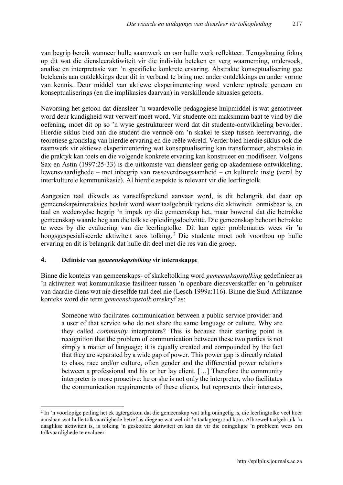van begrip bereik wanneer hulle saamwerk en oor hulle werk reflekteer. Terugskouing fokus op dit wat die diensleeraktiwiteit vir die individu beteken en verg waarneming, ondersoek, analise en interpretasie van 'n spesifieke konkrete ervaring. Abstrakte konseptualisering gee betekenis aan ontdekkings deur dit in verband te bring met ander ontdekkings en ander vorme van kennis. Deur middel van aktiewe eksperimentering word verdere optrede geneem en konseptualiserings (en die implikasies daarvan) in verskillende situasies getoets.

Navorsing het getoon dat diensleer 'n waardevolle pedagogiese hulpmiddel is wat gemotiveer word deur kundigheid wat verwerf moet word. Vir studente om maksimum baat te vind by die oefening, moet dit op so 'n wyse gestruktureer word dat dit studente-ontwikkeling bevorder. Hierdie siklus bied aan die student die vermoë om 'n skakel te skep tussen leerervaring, die teoretiese grondslag van hierdie ervaring en die reële wêreld. Verder bied hierdie siklus ook die raamwerk vir aktiewe eksperimentering wat konseptualisering kan transformeer, abstraksie in die praktyk kan toets en die volgende konkrete ervaring kan konstrueer en modifiseer. Volgens Sax en Astin (1997:25-33) is die uitkomste van diensleer gerig op akademiese ontwikkeling, lewensvaardighede – met inbegrip van rasseverdraagsaamheid – en kulturele insig (veral by interkulturele kommunikasie). Al hierdie aspekte is relevant vir die leerlingtolk.

Aangesien taal dikwels as vanselfsprekend aanvaar word, is dit belangrik dat daar op gemeenskapsinteraksies besluit word waar taalgebruik tydens die aktiwiteit onmisbaar is, en taal en wedersydse begrip 'n impak op die gemeenskap het, maar bowenal dat die betrokke gemeenskap waarde heg aan die tolk se opleidingsdoelwitte. Die gemeenskap behoort betrokke te wees by die evaluering van die leerlingtolke. Dit kan egter problematies wees vir 'n hoogsgespesialiseerde aktiwiteit soos tolking. <sup>2</sup> Die studente moet ook voortbou op hulle ervaring en dit is belangrik dat hulle dit deel met die res van die groep.

#### 4. Definisie van g*emeenskapstolking* vir internskappe

**.** 

Binne die konteks van gemeenskaps- of skakeltolking word *gemeenskapstolking* gedefinieer as 'n aktiwiteit wat kommunikasie fasiliteer tussen 'n openbare diensverskaffer en 'n gebruiker van daardie diens wat nie dieselfde taal deel nie (Lesch 1999a:116). Binne die Suid-Afrikaanse konteks word die term *gemeenskapstolk* omskryf as:

Someone who facilitates communication between a public service provider and a user of that service who do not share the same language or culture. Why are they called *community* interpreters? This is because their starting point is recognition that the problem of communication between these two parties is not simply a matter of language; it is equally created and compounded by the fact that they are separated by a wide gap of power. This power gap is directly related to class, race and/or culture, often gender and the differential power relations between a professional and his or her lay client. […] Therefore the community interpreter is more proactive: he or she is not only the interpreter, who facilitates the communication requirements of these clients, but represents their interests,

<sup>&</sup>lt;sup>2</sup> In 'n voorlopige peiling het ek agtergekom dat die gemeenskap wat talig oningelig is, die leerlingtolke veel hoër aanslaan wat hulle tolkvaardighede betref as diegene wat wel uit 'n taalagtergrond kom. Alhoewel taalgebruik 'n daaglikse aktiwiteit is, is tolking 'n geskoolde aktiwiteit en kan dit vir die oningeligte 'n probleem wees om tolkvaardighede te evalueer.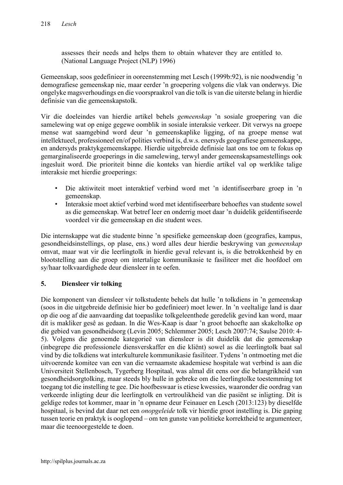assesses their needs and helps them to obtain whatever they are entitled to. (National Language Project (NLP) 1996)

Gemeenskap, soos gedefinieer in ooreenstemming met Lesch (1999b:92), is nie noodwendig 'n demografiese gemeenskap nie, maar eerder 'n groepering volgens die vlak van onderwys. Die ongelyke magsverhoudings en die voorspraakrol van die tolk is van die uiterste belang in hierdie definisie van die gemeenskapstolk.

Vir die doeleindes van hierdie artikel behels *gemeenskap* 'n sosiale groepering van die samelewing wat op enige gegewe oomblik in sosiale interaksie verkeer. Dit verwys na groepe mense wat saamgebind word deur 'n gemeenskaplike ligging, of na groepe mense wat intellektueel, professioneel en/of polities verbind is, d.w.s. enersyds geografiese gemeenskappe, en andersyds praktykgemeenskappe. Hierdie uitgebreide definisie laat ons toe om te fokus op gemarginaliseerde groeperings in die samelewing, terwyl ander gemeenskapsamestellings ook ingesluit word. Die prioriteit binne die konteks van hierdie artikel val op werklike talige interaksie met hierdie groeperings:

- Die aktiwiteit moet interaktief verbind word met 'n identifiseerbare groep in 'n gemeenskap.
- Interaksie moet aktief verbind word met identifiseerbare behoeftes van studente sowel as die gemeenskap. Wat betref leer en onderrig moet daar 'n duidelik geïdentifiseerde voordeel vir die gemeenskap en die student wees.

Die internskappe wat die studente binne 'n spesifieke gemeenskap doen (geografies, kampus, gesondheidsinstellings, op plase, ens.) word alles deur hierdie beskrywing van *gemeenskap* omvat, maar wat vir die leerlingtolk in hierdie geval relevant is, is die betrokkenheid by en blootstelling aan die groep om intertalige kommunikasie te fasiliteer met die hoofdoel om sy/haar tolkvaardighede deur diensleer in te oefen.

### 5. Diensleer vir tolking

Die komponent van diensleer vir tolkstudente behels dat hulle 'n tolkdiens in 'n gemeenskap (soos in die uitgebreide definisie hier bo gedefinieer) moet lewer. In 'n veeltalige land is daar op die oog af die aanvaarding dat toepaslike tolkgeleenthede geredelik gevind kan word, maar dit is makliker gesê as gedaan. In die Wes-Kaap is daar 'n groot behoefte aan skakeltolke op die gebied van gesondheidsorg (Levin 2005; Schlemmer 2005; Lesch 2007:74; Saulse 2010: 4- 5). Volgens die genoemde kategorieë van diensleer is dit duidelik dat die gemeenskap (inbegrepe die professionele diensverskaffer en die kliënt) sowel as die leerlingtolk baat sal vind by die tolkdiens wat interkulturele kommunikasie fasiliteer. Tydens 'n ontmoeting met die uitvoerende komitee van een van die vernaamste akademiese hospitale wat verbind is aan die Universiteit Stellenbosch, Tygerberg Hospitaal, was almal dit eens oor die belangrikheid van gesondheidsorgtolking, maar steeds bly hulle in gebreke om die leerlingtolke toestemming tot toegang tot die instelling te gee. Die hoofbeswaar is etiese kwessies, waaronder die oordrag van verkeerde inligting deur die leerlingtolk en vertroulikheid van die pasiënt se inligting. Dit is geldige redes tot kommer, maar in 'n opname deur Feinauer en Lesch (2013:123) by dieselfde hospitaal, is bevind dat daar net een *onopgeleide* tolk vir hierdie groot instelling is. Die gaping tussen teorie en praktyk is ooglopend – om ten gunste van politieke korrektheid te argumenteer, maar die teenoorgestelde te doen.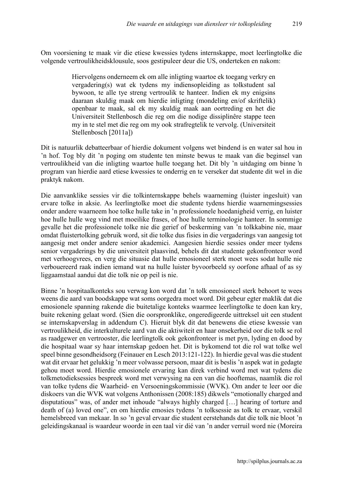Om voorsiening te maak vir die etiese kwessies tydens internskappe, moet leerlingtolke die volgende vertroulikheidsklousule, soos gestipuleer deur die US, onderteken en nakom:

> Hiervolgens onderneem ek om alle inligting waartoe ek toegang verkry en vergadering(s) wat ek tydens my indiensopleiding as tolkstudent sal bywoon, te alle tye streng vertroulik te hanteer. Indien ek my enigsins daaraan skuldig maak om hierdie inligting (mondeling en/of skriftelik) openbaar te maak, sal ek my skuldig maak aan oortreding en het die Universiteit Stellenbosch die reg om die nodige dissiplinêre stappe teen my in te stel met die reg om my ook strafregtelik te vervolg. (Universiteit Stellenbosch [2011a])

Dit is natuurlik debatteerbaar of hierdie dokument volgens wet bindend is en water sal hou in 'n hof. Tog bly dit 'n poging om studente ten minste bewus te maak van die beginsel van vertroulikheid van die inligting waartoe hulle toegang het. Dit bly 'n uitdaging om binne 'n program van hierdie aard etiese kwessies te onderrig en te verseker dat studente dit wel in die praktyk nakom.

Die aanvanklike sessies vir die tolkinternskappe behels waarneming (luister ingesluit) van ervare tolke in aksie. As leerlingtolke moet die studente tydens hierdie waarnemingsessies onder andere waarneem hoe tolke hulle take in 'n professionele hoedanigheid verrig, en luister hoe hulle hulle weg vind met moeilike frases, of hoe hulle terminologie hanteer. In sommige gevalle het die professionele tolke nie die gerief of beskerming van 'n tolkkabine nie, maar omdat fluistertolking gebruik word, sit die tolke dus fisies in die vergaderings van aangesig tot aangesig met onder andere senior akademici. Aangesien hierdie sessies onder meer tydens senior vergaderings by die universiteit plaasvind, behels dit dat studente gekonfronteer word met verhoogvrees, en verg die situasie dat hulle emosioneel sterk moet wees sodat hulle nie verbouereerd raak indien iemand wat na hulle luister byvoorbeeld sy oorfone afhaal of as sy liggaamstaal aandui dat die tolk nie op peil is nie.

Binne 'n hospitaalkonteks sou verwag kon word dat 'n tolk emosioneel sterk behoort te wees weens die aard van boodskappe wat soms oorgedra moet word. Dit gebeur egter maklik dat die emosionele spanning rakende die buitetalige konteks waarmee leerlingtolke te doen kan kry, buite rekening gelaat word. (Sien die oorspronklike, ongeredigeerde uittreksel uit een student se internskapverslag in addendum C). Hieruit blyk dit dat benewens die etiese kwessie van vertroulikheid, die interkulturele aard van die aktiwiteit en haar onsekerheid oor die tolk se rol as raadgewer en vertrooster, die leerlingtolk ook gekonfronteer is met pyn, lyding en dood by die hospitaal waar sy haar internskap gedoen het. Dit is bykomend tot die rol wat tolke wel speel binne gesondheidsorg (Feinauer en Lesch 2013:121-122). In hierdie geval was die student wat dit ervaar het gelukkig 'n meer volwasse persoon, maar dit is beslis 'n aspek wat in gedagte gehou moet word. Hierdie emosionele ervaring kan direk verbind word met wat tydens die tolkmetodieksessies bespreek word met verwysing na een van die hooftemas, naamlik die rol van tolke tydens die Waarheid- en Versoeningskommissie (WVK). Om ander te leer oor die diskoers van die WVK wat volgens Anthonissen (2008:185) dikwels "emotionally charged and disputatious" was, of ander met inhoude "always highly charged […] hearing of torture and death of (a) loved one", en om hierdie emosies tydens 'n tolksessie as tolk te ervaar, verskil hemelsbreed van mekaar. In so 'n geval ervaar die student eerstehands dat die tolk nie bloot 'n geleidingskanaal is waardeur woorde in een taal vir dié van 'n ander verruil word nie (Moreira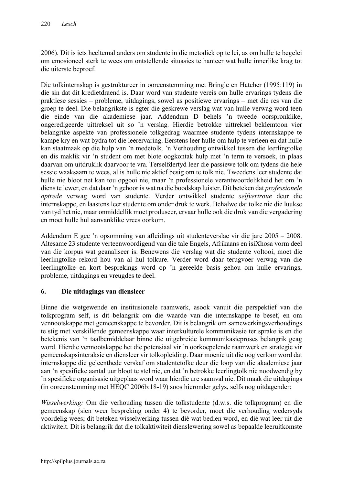2006). Dit is iets heeltemal anders om studente in die metodiek op te lei, as om hulle te begelei om emosioneel sterk te wees om ontstellende situasies te hanteer wat hulle innerlike krag tot die uiterste beproef.

Die tolkinternskap is gestruktureer in ooreenstemming met Bringle en Hatcher (1995:119) in die sin dat dit kredietdraend is. Daar word van studente vereis om hulle ervarings tydens die praktiese sessies – probleme, uitdagings, sowel as positiewe ervarings – met die res van die groep te deel. Die belangrikste is egter die geskrewe verslag wat van hulle verwag word teen die einde van die akademiese jaar. Addendum D behels 'n tweede oorspronklike, ongeredigeerde uittreksel uit so 'n verslag. Hierdie betrokke uittreksel beklemtoon vier belangrike aspekte van professionele tolkgedrag waarmee studente tydens internskappe te kampe kry en wat bydra tot die leerervaring. Eerstens leer hulle om hulp te verleen en dat hulle kan staatmaak op die hulp van 'n medetolk. 'n Verhouding ontwikkel tussen die leerlingtolke en dis maklik vir 'n student om met blote oogkontak hulp met 'n term te versoek, in plaas daarvan om uitdruklik daarvoor te vra. Terselfdertyd leer die passiewe tolk om tydens die hele sessie waaksaam te wees, al is hulle nie aktief besig om te tolk nie. Tweedens leer studente dat hulle nie bloot net kan tou opgooi nie, maar 'n professionele verantwoordelikheid het om 'n diens te lewer, en dat daar 'n gehoor is wat na die boodskap luister. Dit beteken dat *professionele optrede* verwag word van studente. Verder ontwikkel studente *selfvertroue* deur die internskappe, en laastens leer studente om onder druk te werk. Behalwe dat tolke nie die luukse van tyd het nie, maar onmiddellik moet produseer, ervaar hulle ook die druk van die vergadering en moet hulle hul aanvanklike vrees oorkom.

Addendum E gee 'n opsomming van afleidings uit studenteverslae vir die jare 2005 – 2008. Altesame 23 studente verteenwoordigend van die tale Engels, Afrikaans en isiXhosa vorm deel van die korpus wat geanaliseer is. Benewens die verslag wat die studente voltooi, moet die leerlingtolke rekord hou van al hul tolkure. Verder word daar terugvoer verwag van die leerlingtolke en kort besprekings word op 'n gereelde basis gehou om hulle ervarings, probleme, uitdagings en vreugdes te deel.

### 6. Die uitdagings van diensleer

Binne die wetgewende en institusionele raamwerk, asook vanuit die perspektief van die tolkprogram self, is dit belangrik om die waarde van die internskappe te besef, en om vennootskappe met gemeenskappe te bevorder. Dit is belangrik om samewerkingsverhoudings te stig met verskillende gemeenskappe waar interkulturele kommunikasie ter sprake is en die betekenis van 'n taalbemiddelaar binne die uitgebreide kommunikasieproses belangrik geag word. Hierdie vennootskappe het die potensiaal vir 'n oorkoepelende raamwerk en strategie vir gemeenskapsinteraksie en diensleer vir tolkopleiding. Daar moenie uit die oog verloor word dat internskappe die geleenthede verskaf om studentetolke deur die loop van die akademiese jaar aan 'n spesifieke aantal uur bloot te stel nie, en dat 'n betrokke leerlingtolk nie noodwendig by 'n spesifieke organisasie uitgeplaas word waar hierdie ure saamval nie. Dit maak die uitdagings (in ooreenstemming met HEQC 2006b:18-19) soos hieronder gelys, selfs nog uitdagender:

*Wisselwerking:* Om die verhouding tussen die tolkstudente (d.w.s. die tolkprogram) en die gemeenskap (sien weer bespreking onder 4) te bevorder, moet die verhouding wedersyds voordelig wees; dit beteken wisselwerking tussen dié wat bedien word, en dié wat leer uit die aktiwiteit. Dit is belangrik dat die tolkaktiwiteit dienslewering sowel as bepaalde leeruitkomste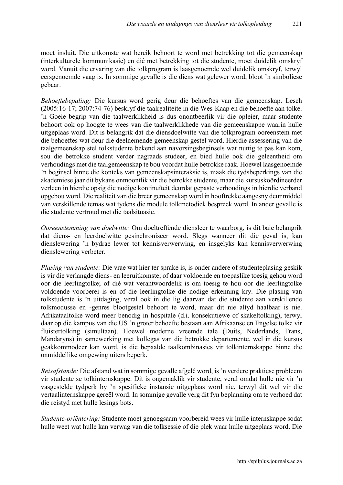moet insluit. Die uitkomste wat bereik behoort te word met betrekking tot die gemeenskap (interkulturele kommunikasie) en dié met betrekking tot die studente, moet duidelik omskryf word. Vanuit die ervaring van die tolkprogram is laasgenoemde wel duidelik omskryf, terwyl eersgenoemde vaag is. In sommige gevalle is die diens wat gelewer word, bloot 'n simboliese gebaar.

*Behoeftebepaling:* Die kursus word gerig deur die behoeftes van die gemeenskap. Lesch (2005:16-17; 2007:74-76) beskryf die taalrealiteite in die Wes-Kaap en die behoefte aan tolke. 'n Goeie begrip van die taalwerklikheid is dus onontbeerlik vir die opleier, maar studente behoort ook op hoogte te wees van die taalwerklikhede van die gemeenskappe waarin hulle uitgeplaas word. Dit is belangrik dat die diensdoelwitte van die tolkprogram ooreenstem met die behoeftes wat deur die deelnemende gemeenskap gestel word. Hierdie assessering van die taalgemeenskap stel tolkstudente bekend aan navorsingsbeginsels wat nuttig te pas kan kom, sou die betrokke student verder nagraads studeer, en bied hulle ook die geleentheid om verhoudings met die taalgemeenskap te bou voordat hulle betrokke raak. Hoewel laasgenoemde 'n beginsel binne die konteks van gemeenskapsinteraksie is, maak die tydsbeperkings van die akademiese jaar dit bykans onmoontlik vir die betrokke studente, maar die kursuskoördineerder verleen in hierdie opsig die nodige kontinuïteit deurdat gepaste verhoudings in hierdie verband opgebou word. Die realiteit van die breër gemeenskap word in hooftrekke aangesny deur middel van verskillende temas wat tydens die module tolkmetodiek bespreek word. In ander gevalle is die studente vertroud met die taalsituasie.

*Ooreenstemming van doelwitte:* Om doeltreffende diensleer te waarborg, is dit baie belangrik dat diens- en leerdoelwitte gesinchroniseer word. Slegs wanneer dít die geval is, kan dienslewering 'n bydrae lewer tot kennisverwerwing, en insgelyks kan kennisverwerwing dienslewering verbeter.

*Plasing van studente:* Die vrae wat hier ter sprake is, is onder andere of studenteplasing geskik is vir die verlangde diens- en leeruitkomste; of daar voldoende en toepaslike toesig gehou word oor die leerlingtolke; of dié wat verantwoordelik is om toesig te hou oor die leerlingtolke voldoende voorberei is en of die leerlingtolke die nodige erkenning kry. Die plasing van tolkstudente is 'n uitdaging, veral ook in die lig daarvan dat die studente aan verskillende tolkmodusse en -genres blootgestel behoort te word, maar dit nie altyd haalbaar is nie. Afrikataaltolke word meer benodig in hospitale (d.i. konsekutiewe of skakeltolking), terwyl daar op die kampus van die US 'n groter behoefte bestaan aan Afrikaanse en Engelse tolke vir fluistertolking (simultaan). Hoewel moderne vreemde tale (Duits, Nederlands, Frans, Mandaryns) in samewerking met kollegas van die betrokke departemente, wel in die kursus geakkommodeer kan word, is die bepaalde taalkombinasies vir tolkinternskappe binne die onmiddellike omgewing uiters beperk.

*Reisafstande:* Die afstand wat in sommige gevalle afgelê word, is 'n verdere praktiese probleem vir studente se tolkinternskappe. Dit is ongemaklik vir studente, veral omdat hulle nie vir 'n vasgestelde tydperk by 'n spesifieke instansie uitgeplaas word nie, terwyl dit wel vir die vertaalinternskappe gereël word. In sommige gevalle verg dit fyn beplanning om te verhoed dat die reistyd met hulle lesings bots.

*Studente-oriëntering:* Studente moet genoegsaam voorbereid wees vir hulle internskappe sodat hulle weet wat hulle kan verwag van die tolksessie of die plek waar hulle uitgeplaas word. Die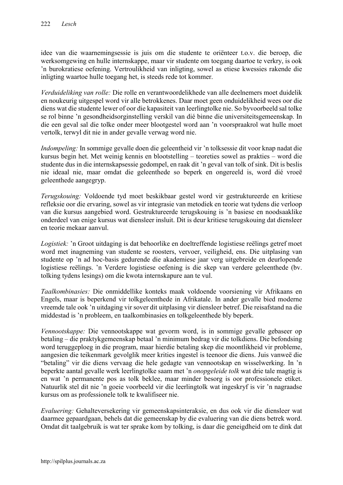idee van die waarnemingsessie is juis om die studente te oriënteer t.o.v. die beroep, die werksomgewing en hulle internskappe, maar vir studente om toegang daartoe te verkry, is ook 'n burokratiese oefening. Vertroulikheid van inligting, sowel as etiese kwessies rakende die inligting waartoe hulle toegang het, is steeds rede tot kommer.

*Verduideliking van rolle:* Die rolle en verantwoordelikhede van alle deelnemers moet duidelik en noukeurig uitgespel word vir alle betrokkenes. Daar moet geen onduidelikheid wees oor die diens wat die studente lewer of oor die kapasiteit van leerlingtolke nie. So byvoorbeeld sal tolke se rol binne 'n gesondheidsorginstelling verskil van dié binne die universiteitsgemeenskap. In die een geval sal die tolke onder meer blootgestel word aan 'n voorspraakrol wat hulle moet vertolk, terwyl dit nie in ander gevalle verwag word nie.

*Indompeling:* In sommige gevalle doen die geleentheid vir 'n tolksessie dit voor knap nadat die kursus begin het. Met weinig kennis en blootstelling – teoreties sowel as prakties – word die studente dus in die internskapsessie gedompel, en raak dit 'n geval van tolk of sink. Dit is beslis nie ideaal nie, maar omdat die geleenthede so beperk en ongereeld is, word dié vroeë geleenthede aangegryp.

*Terugskouing:* Voldoende tyd moet beskikbaar gestel word vir gestruktureerde en kritiese refleksie oor die ervaring, sowel as vir integrasie van metodiek en teorie wat tydens die verloop van die kursus aangebied word. Gestruktureerde terugskouing is 'n basiese en noodsaaklike onderdeel van enige kursus wat diensleer insluit. Dit is deur kritiese terugskouing dat diensleer en teorie mekaar aanvul.

*Logistiek:* 'n Groot uitdaging is dat behoorlike en doeltreffende logistiese reëlings getref moet word met inagneming van studente se roosters, vervoer, veiligheid, ens. Die uitplasing van studente op 'n ad hoc-basis gedurende die akademiese jaar verg uitgebreide en deurlopende logistiese reëlings. 'n Verdere logistiese oefening is die skep van verdere geleenthede (bv. tolking tydens lesings) om die kwota internskapure aan te vul.

*Taalkombinasies:* Die onmiddellike konteks maak voldoende voorsiening vir Afrikaans en Engels, maar is beperkend vir tolkgeleenthede in Afrikatale. In ander gevalle bied moderne vreemde tale ook 'n uitdaging vir sover dit uitplasing vir diensleer betref. Die reisafstand na die middestad is 'n probleem, en taalkombinasies en tolkgeleenthede bly beperk.

*Vennootskappe:* Die vennootskappe wat gevorm word, is in sommige gevalle gebaseer op betaling – die praktykgemeenskap betaal 'n minimum bedrag vir die tolkdiens. Die befondsing word teruggeploeg in die program, maar hierdie betaling skep die moontlikheid vir probleme, aangesien die teikenmark gevolglik meer krities ingestel is teenoor die diens. Juis vanweë die "betaling" vir die diens vervaag die hele gedagte van vennootskap en wisselwerking. In 'n beperkte aantal gevalle werk leerlingtolke saam met 'n *onopgeleide tolk* wat drie tale magtig is en wat 'n permanente pos as tolk beklee, maar minder besorg is oor professionele etiket. Natuurlik stel dit nie 'n goeie voorbeeld vir die leerlingtolk wat ingeskryf is vir 'n nagraadse kursus om as professionele tolk te kwalifiseer nie.

*Evaluering:* Gehalteversekering vir gemeenskapsinteraksie, en dus ook vir die diensleer wat daarmee gepaardgaan, behels dat die gemeenskap by die evaluering van die diens betrek word. Omdat dit taalgebruik is wat ter sprake kom by tolking, is daar die geneigdheid om te dink dat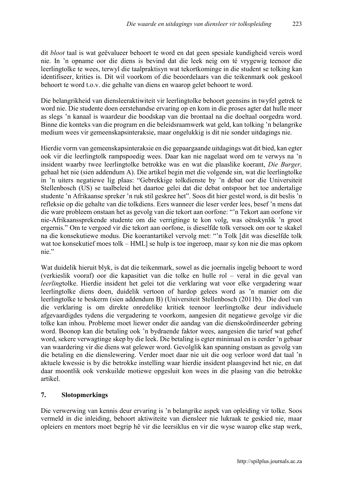dit *bloot* taal is wat geëvalueer behoort te word en dat geen spesiale kundigheid vereis word nie. In 'n opname oor die diens is bevind dat die leek neig om té vrygewig teenoor die leerlingtolke te wees, terwyl die taalpraktisyn wat tekortkominge in die student se tolking kan identifiseer, krities is. Dit wil voorkom of die beoordelaars van die teikenmark ook geskool behoort te word t.o.v. die gehalte van diens en waarop gelet behoort te word.

Die belangrikheid van diensleeraktiwiteit vir leerlingtolke behoort geensins in twyfel getrek te word nie. Die studente doen eerstehandse ervaring op en kom in die proses agter dat hulle meer as slegs 'n kanaal is waardeur die boodskap van die brontaal na die doeltaal oorgedra word. Binne die konteks van die program en die beleidsraamwerk wat geld, kan tolking 'n belangrike medium wees vir gemeenskapsinteraksie, maar ongelukkig is dit nie sonder uitdagings nie.

Hierdie vorm van gemeenskapsinteraksie en die gepaargaande uitdagings wat dit bied, kan egter ook vir die leerlingtolk rampspoedig wees. Daar kan nie nagelaat word om te verwys na 'n insident waarby twee leerlingtolke betrokke was en wat die plaaslike koerant, *Die Burger,* gehaal het nie (sien addendum A). Die artikel begin met die volgende sin, wat die leerlingtolke in 'n uiters negatiewe lig plaas: "Gebrekkige tolkdienste by 'n debat oor die Universiteit Stellenbosch (US) se taalbeleid het daartoe gelei dat die debat ontspoor het toe andertalige studente 'n Afrikaanse spreker 'n ruk stil geskree het". Soos dit hier gestel word, is dit beslis 'n refleksie op die gehalte van die tolkdiens. Eers wanneer die leser verder lees, besef 'n mens dat die ware probleem onstaan het as gevolg van die tekort aan oorfone: "'n Tekort aan oorfone vir nie-Afrikaanssprekende studente om die verrigtinge te kon volg, was oënskynlik 'n groot ergernis." Om te vergoed vir die tekort aan oorfone, is dieselfde tolk versoek om oor te skakel na die konsekutiewe modus. Die koerantartikel vervolg met: "'n Tolk [dit was dieselfde tolk wat toe konsekutief moes tolk – HML] se hulp is toe ingeroep, maar sy kon nie die mas opkom nie."

Wat duidelik hieruit blyk, is dat die teikenmark, sowel as die joernalis ingelig behoort te word (verkieslik vooraf) oor die kapasitiet van die tolke en hulle rol – veral in die geval van *leerling*tolke. Hierdie insident het gelei tot die verklaring wat voor elke vergadering waar leerlingtolke diens doen, duidelik vertoon of hardop gelees word as 'n manier om die leerlingtolke te beskerm (sien addendum B) (Universiteit Stellenbosch (2011b). Die doel van die verklaring is om direkte onredelike kritiek teenoor leerlingtolke deur individuele afgevaardigdes tydens die vergadering te voorkom, aangesien dit negatiewe gevolge vir die tolke kan inhou. Probleme moet liewer onder die aandag van die dienskoördineerder gebring word. Boonop kan die betaling ook 'n bydraende faktor wees, aangesien die tarief wat gehef word, sekere verwagtinge skep by die leek. Die betaling is egter minimaal en is eerder 'n gebaar van waardering vir die diens wat gelewer word. Gevolglik kan spanning onstaan as gevolg van die betaling en die dienslewering. Verder moet daar nie uit die oog verloor word dat taal 'n aktuele kwessie is by die betrokke instelling waar hierdie insident plaasgevind het nie, en dat daar moontlik ook verskuilde motiewe opgesluit kon wees in die plasing van die betrokke artikel.

### 7. Slotopmerkings

Die verwerwing van kennis deur ervaring is 'n belangrike aspek van opleiding vir tolke. Soos vermeld in die inleiding, behoort aktiwiteite van diensleer nie lukraak te geskied nie, maar opleiers en mentors moet begrip hê vir die leersiklus en vir die wyse waarop elke stap werk,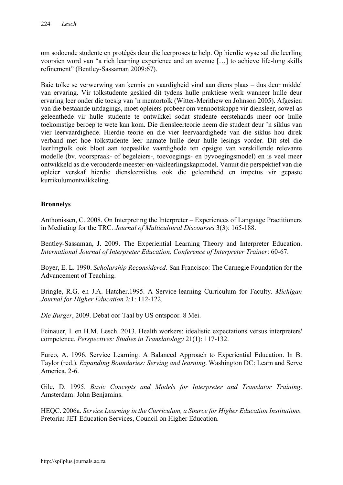om sodoende studente en protégés deur die leerproses te help. Op hierdie wyse sal die leerling voorsien word van "a rich learning experience and an avenue […] to achieve life-long skills refinement" (Bentley-Sassaman 2009:67).

Baie tolke se verwerwing van kennis en vaardigheid vind aan diens plaas – dus deur middel van ervaring. Vir tolkstudente geskied dit tydens hulle praktiese werk wanneer hulle deur ervaring leer onder die toesig van 'n mentortolk (Witter-Merithew en Johnson 2005). Afgesien van die bestaande uitdagings, moet opleiers probeer om vennootskappe vir diensleer, sowel as geleenthede vir hulle studente te ontwikkel sodat studente eerstehands meer oor hulle toekomstige beroep te wete kan kom. Die diensleerteorie neem die student deur 'n siklus van vier leervaardighede. Hierdie teorie en die vier leervaardighede van die siklus hou direk verband met hoe tolkstudente leer namate hulle deur hulle lesings vorder. Dit stel die leerlingtolk ook bloot aan toepaslike vaardighede ten opsigte van verskillende relevante modelle (bv. voorspraak- of begeleiers-, toevoegings- en byvoegingsmodel) en is veel meer ontwikkeld as die verouderde meester-en-vakleerlingskapmodel. Vanuit die perspektief van die opleier verskaf hierdie diensleersiklus ook die geleentheid en impetus vir gepaste kurrikulumontwikkeling.

### Bronnelys

Anthonissen, C. 2008. On Interpreting the Interpreter – Experiences of Language Practitioners in Mediating for the TRC. *Journal of Multicultural Discourses* 3(3): 165-188.

Bentley-Sassaman, J. 2009. The Experiential Learning Theory and Interpreter Education. *International Journal of Interpreter Education, Conference of Interpreter Trainer*: 60-67.

Boyer, E. L. 1990. *Scholarship Reconsidered*. San Francisco: The Carnegie Foundation for the Advancement of Teaching.

Bringle, R.G. en J.A. Hatcher.1995. A Service-learning Curriculum for Faculty. *Michigan Journal for Higher Education* 2:1: 112-122.

*Die Burger*, 2009. Debat oor Taal by US ontspoor*.* 8 Mei.

Feinauer, I. en H.M. Lesch. 2013. Health workers: idealistic expectations versus interpreters' competence. *Perspectives: Studies in Translatology* 21(1): 117-132.

Furco, A. 1996. Service Learning: A Balanced Approach to Experiential Education. In B. Taylor (red.). *Expanding Boundaries: Serving and learning*. Washington DC: Learn and Serve America. 2-6.

Gile, D. 1995. *Basic Concepts and Models for Interpreter and Translator Training*. Amsterdam: John Benjamins.

HEQC. 2006a. *Service Learning in the Curriculum, a Source for Higher Education Institutions.* Pretoria: JET Education Services, Council on Higher Education.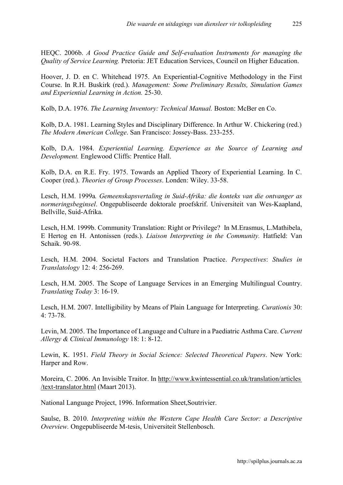HEQC. 2006b. *A Good Practice Guide and Self-evaluation Instruments for managing the Quality of Service Learning.* Pretoria: JET Education Services, Council on Higher Education.

Hoover, J. D. en C. Whitehead 1975. An Experiential-Cognitive Methodology in the First Course. In R.H. Buskirk (red.). *Management: Some Preliminary Results, Simulation Games and Experiential Learning in Action.* 25-30.

Kolb, D.A. 1976. *The Learning Inventory: Technical Manual.* Boston: McBer en Co.

Kolb, D.A. 1981. Learning Styles and Disciplinary Difference. In Arthur W. Chickering (red.) *The Modern American College*. San Francisco: Jossey-Bass. 233-255.

Kolb, D.A. 1984. *Experiential Learning. Experience as the Source of Learning and Development.* Englewood Cliffs: Prentice Hall.

Kolb, D.A. en R.E. Fry. 1975. Towards an Applied Theory of Experiential Learning. In C. Cooper (red.). *Theories of Group Processes*. Londen: Wiley. 33-58.

Lesch, H.M. 1999a*. Gemeenskapsvertaling in Suid-Afrika: die konteks van die ontvanger as normeringsbeginsel*. Ongepubliseerde doktorale proefskrif. Universiteit van Wes-Kaapland, Bellville, Suid-Afrika.

Lesch, H.M. 1999b. Community Translation: Right or Privilege? In M.Erasmus, L.Mathibela, E Hertog en H. Antonissen (reds.). *Liaison Interpreting in the Community.* Hatfield: Van Schaik. 90-98.

Lesch, H.M. 2004. Societal Factors and Translation Practice. *Perspectives*: *Studies in Translatology* 12: 4: 256-269.

Lesch, H.M. 2005. The Scope of Language Services in an Emerging Multilingual Country. *Translating Today* 3: 16-19.

Lesch, H.M. 2007. Intelligibility by Means of Plain Language for Interpreting. *Curationis* 30: 4: 73-78.

Levin, M. 2005. The Importance of Language and Culture in a Paediatric Asthma Care. *Current Allergy & Clinical Immunology* 18: 1: 8-12.

Lewin, K. 1951. *Field Theory in Social Science: Selected Theoretical Papers*. New York: Harper and Row.

Moreira, C. 2006. An Invisible Traitor. In [http://www.kwintessential.co.uk/translation/articles](http://www.kwintessential.co.uk/translation/articles /text-translator.html)  [/text-translator.html](http://www.kwintessential.co.uk/translation/articles /text-translator.html) (Maart 2013).

National Language Project, 1996. Information Sheet,Soutrivier.

Saulse, B. 2010. *Interpreting within the Western Cape Health Care Sector: a Descriptive Overview.* Ongepubliseerde M-tesis, Universiteit Stellenbosch.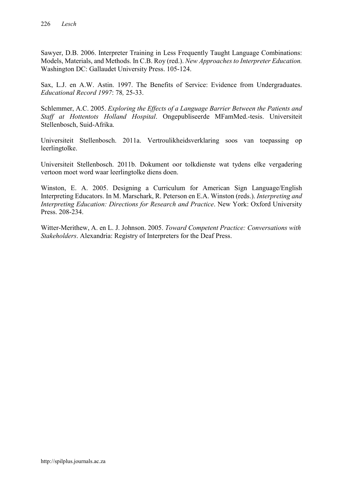Sawyer, D.B. 2006. Interpreter Training in Less Frequently Taught Language Combinations: Models, Materials, and Methods. In C.B. Roy (red.). *New Approaches to Interpreter Education.* Washington DC: Gallaudet University Press. 105-124.

Sax, L.J. en A.W. Astin. 1997. The Benefits of Service: Evidence from Undergraduates. *Educational Record 1997*: 78*,* 25-33.

Schlemmer, A.C. 2005. *Exploring the Effects of a Language Barrier Between the Patients and Staff at Hottentots Holland Hospital*. Ongepubliseerde MFamMed.-tesis. Universiteit Stellenbosch, Suid-Afrika.

Universiteit Stellenbosch. 2011a. Vertroulikheidsverklaring soos van toepassing op leerlingtolke.

Universiteit Stellenbosch. 2011b. Dokument oor tolkdienste wat tydens elke vergadering vertoon moet word waar leerlingtolke diens doen.

Winston, E. A. 2005. Designing a Curriculum for American Sign Language/English Interpreting Educators. In M. Marschark, R. Peterson en E.A. Winston (reds.). *Interpreting and Interpreting Education: Directions for Research and Practice*. New York: Oxford University Press. 208-234.

Witter-Merithew, A. en L. J. Johnson. 2005. *Toward Competent Practice: Conversations with Stakeholders*. Alexandria: Registry of Interpreters for the Deaf Press.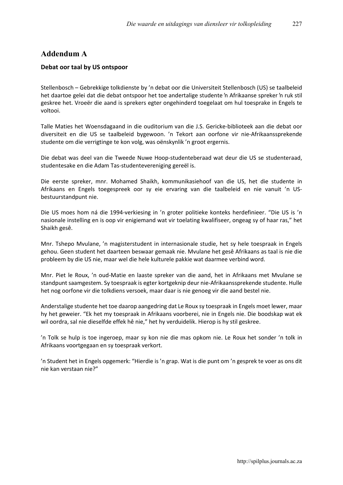# Addendum A

#### Debat oor taal by US ontspoor

Stellenbosch – Gebrekkige tolkdienste by 'n debat oor die Universiteit Stellenbosch (US) se taalbeleid het daartoe gelei dat die debat ontspoor het toe andertalige studente 'n Afrikaanse spreker 'n ruk stil geskree het. Vroeër die aand is sprekers egter ongehinderd toegelaat om hul toesprake in Engels te voltooi.

Talle Maties het Woensdagaand in die ouditorium van die J.S. Gericke-biblioteek aan die debat oor diversiteit en die US se taalbeleid bygewoon. 'n Tekort aan oorfone vir nie-Afrikaanssprekende studente om die verrigtinge te kon volg, was oënskynlik 'n groot ergernis.

Die debat was deel van die Tweede Nuwe Hoop-studenteberaad wat deur die US se studenteraad, studentesake en die Adam Tas-studentevereniging gereël is.

Die eerste spreker, mnr. Mohamed Shaikh, kommunikasiehoof van die US, het die studente in Afrikaans en Engels toegespreek oor sy eie ervaring van die taalbeleid en nie vanuit 'n USbestuurstandpunt nie.

Die US moes hom ná die 1994-verkiesing in 'n groter politieke konteks herdefinieer. "Die US is 'n nasionale instelling en is oop vir enigiemand wat vir toelating kwalifiseer, ongeag sy of haar ras," het Shaikh gesê.

Mnr. Tshepo Mvulane, 'n magisterstudent in internasionale studie, het sy hele toespraak in Engels gehou. Geen student het daarteen beswaar gemaak nie. Mvulane het gesê Afrikaans as taal is nie die probleem by die US nie, maar wel die hele kulturele pakkie wat daarmee verbind word.

Mnr. Piet le Roux, 'n oud-Matie en laaste spreker van die aand, het in Afrikaans met Mvulane se standpunt saamgestem. Sy toespraak is egter kortgeknip deur nie-Afrikaanssprekende studente. Hulle het nog oorfone vir die tolkdiens versoek, maar daar is nie genoeg vir die aand bestel nie.

Anderstalige studente het toe daarop aangedring dat Le Roux sy toespraak in Engels moet lewer, maar hy het geweier. "Ek het my toespraak in Afrikaans voorberei, nie in Engels nie. Die boodskap wat ek wil oordra, sal nie dieselfde effek hê nie," het hy verduidelik. Hierop is hy stil geskree.

'n Tolk se hulp is toe ingeroep, maar sy kon nie die mas opkom nie. Le Roux het sonder 'n tolk in Afrikaans voortgegaan en sy toespraak verkort.

'n Student het in Engels opgemerk: "Hierdie is 'n grap. Wat is die punt om 'n gesprek te voer as ons dit nie kan verstaan nie?"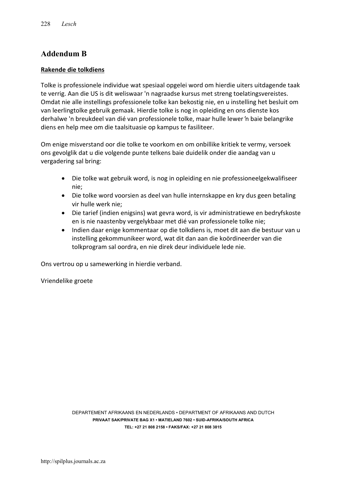# Addendum B

#### Rakende die tolkdiens

Tolke is professionele individue wat spesiaal opgelei word om hierdie uiters uitdagende taak te verrig. Aan die US is dit weliswaar 'n nagraadse kursus met streng toelatingsvereistes. Omdat nie alle instellings professionele tolke kan bekostig nie, en u instelling het besluit om van leerlingtolke gebruik gemaak. Hierdie tolke is nog in opleiding en ons dienste kos derhalwe 'n breukdeel van dié van professionele tolke, maar hulle lewer 'n baie belangrike diens en help mee om die taalsituasie op kampus te fasiliteer.

Om enige misverstand oor die tolke te voorkom en om onbillike kritiek te vermy, versoek ons gevolglik dat u die volgende punte telkens baie duidelik onder die aandag van u vergadering sal bring:

- Die tolke wat gebruik word, is nog in opleiding en nie professioneelgekwalifiseer nie;
- Die tolke word voorsien as deel van hulle internskappe en kry dus geen betaling vir hulle werk nie;
- Die tarief (indien enigsins) wat gevra word, is vir administratiewe en bedryfskoste en is nie naastenby vergelykbaar met dié van professionele tolke nie;
- Indien daar enige kommentaar op die tolkdiens is, moet dit aan die bestuur van u instelling gekommunikeer word, wat dit dan aan die koördineerder van die tolkprogram sal oordra, en nie direk deur individuele lede nie.

Ons vertrou op u samewerking in hierdie verband.

Vriendelike groete

DEPARTEMENT AFRIKAANS EN NEDERLANDS • DEPARTMENT OF AFRIKAANS AND DUTCH PRIVAAT SAK/PRIVATE BAG X1 • MATIELAND 7602 • SUID-AFRIKA/SOUTH AFRICA TEL: +27 21 808 2158 • FAKS/FAX: +27 21 808 3815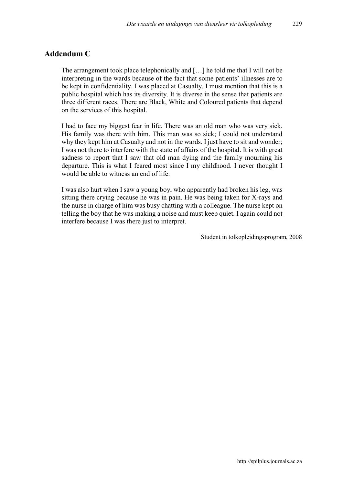### Addendum C

The arrangement took place telephonically and […] he told me that I will not be interpreting in the wards because of the fact that some patients' illnesses are to be kept in confidentiality. I was placed at Casualty. I must mention that this is a public hospital which has its diversity. It is diverse in the sense that patients are three different races. There are Black, White and Coloured patients that depend on the services of this hospital.

I had to face my biggest fear in life. There was an old man who was very sick. His family was there with him. This man was so sick; I could not understand why they kept him at Casualty and not in the wards. I just have to sit and wonder; I was not there to interfere with the state of affairs of the hospital. It is with great sadness to report that I saw that old man dying and the family mourning his departure. This is what I feared most since I my childhood. I never thought I would be able to witness an end of life.

I was also hurt when I saw a young boy, who apparently had broken his leg, was sitting there crying because he was in pain. He was being taken for X-rays and the nurse in charge of him was busy chatting with a colleague. The nurse kept on telling the boy that he was making a noise and must keep quiet. I again could not interfere because I was there just to interpret.

Student in tolkopleidingsprogram, 2008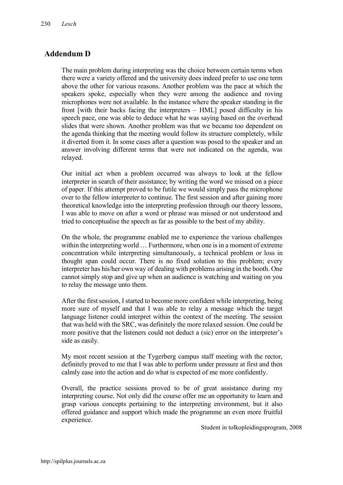# Addendum D

The main problem during interpreting was the choice between certain terms when there were a variety offered and the university does indeed prefer to use one term above the other for various reasons. Another problem was the pace at which the speakers spoke, especially when they were among the audience and roving microphones were not available. In the instance where the speaker standing in the front [with their backs facing the interpreters – HML] posed difficulty in his speech pace, one was able to deduce what he was saying based on the overhead slides that were shown. Another problem was that we became too dependent on the agenda thinking that the meeting would follow its structure completely, while it diverted from it. In some cases after a question was posed to the speaker and an answer involving different terms that were not indicated on the agenda, was relayed.

Our initial act when a problem occurred was always to look at the fellow interpreter in search of their assistance; by writing the word we missed on a piece of paper. If this attempt proved to be futile we would simply pass the microphone over to the fellow interpreter to continue. The first session and after gaining more theoretical knowledge into the interpreting profession through our theory lessons, I was able to move on after a word or phrase was missed or not understood and tried to conceptualise the speech as far as possible to the best of my ability.

On the whole, the programme enabled me to experience the various challenges within the interpreting world ... Furthermore, when one is in a moment of extreme concentration while interpreting simultaneously, a technical problem or loss in thought span could occur. There is no fixed solution to this problem; every interpreter has his/her own way of dealing with problems arising in the booth. One cannot simply stop and give up when an audience is watching and waiting on you to relay the message unto them.

After the first session, I started to become more confident while interpreting, being more sure of myself and that I was able to relay a message which the target language listener could interpret within the context of the meeting. The session that was held with the SRC, was definitely the more relaxed session. One could be more positive that the listeners could not deduct a (sic) error on the interpreter's side as easily.

My most recent session at the Tygerberg campus staff meeting with the rector, definitely proved to me that I was able to perform under pressure at first and then calmly ease into the action and do what is expected of me more confidently.

Overall, the practice sessions proved to be of great assistance during my interpreting course. Not only did the course offer me an opportunity to learn and grasp various concepts pertaining to the interpreting environment, but it also offered guidance and support which made the programme an even more fruitful experience.

Student in tolkopleidingsprogram, 2008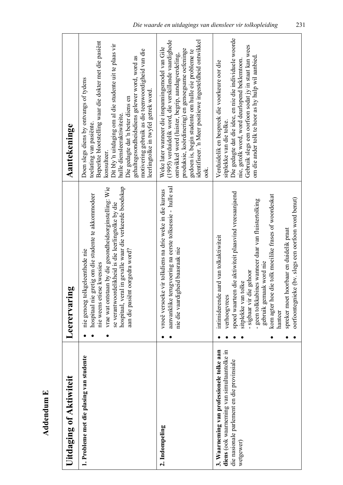| Uitdaging of Aktiwiteit                                                                                                                             | Leerervaring                                                                                                                                                                                                                                                                                                                                                                                                               | Aantekeninge                                                                                                                                                                                                                                                                                                                                                                                                             |
|-----------------------------------------------------------------------------------------------------------------------------------------------------|----------------------------------------------------------------------------------------------------------------------------------------------------------------------------------------------------------------------------------------------------------------------------------------------------------------------------------------------------------------------------------------------------------------------------|--------------------------------------------------------------------------------------------------------------------------------------------------------------------------------------------------------------------------------------------------------------------------------------------------------------------------------------------------------------------------------------------------------------------------|
| 1. Probleme met die plasing van studente                                                                                                            | hospitaal, veral in gevalle waar die verkeerde boodskap<br>vrae wat ontstaan by die gesondheidsorginstelling: Wie<br>hospitaal nie gretig om die studente te akkommodeer<br>se verantwoordelikheid is die leerlingtolke by die<br>aan die pasiënt oorgedra word?<br>geleenthede nie<br>nie weens etiese kwessies<br>nie genoeg tolk                                                                                        | Beperkte blootstelling waar die dokter met die pasiënt<br>Dit bly 'n uitdaging om al die studente uit te plaas vir<br>motivering gebruik as die teenwoordigheid van die<br>gehaltegesondheidsdiens gelewer word, word as<br>Doen slegs diens by ontvangs of tydens<br>leerlingtolke in twyfel getrek word.<br>Die gedagte dat 'n beter diens en<br>hulle diensleeraktiwiteite.<br>toelating van pasiënte.<br>konsulteer. |
| 2. Indompeling                                                                                                                                      | aanvanklike terugvoering na eerste tolksessie - hulle sal<br>vroeë versoeke vir tolkdiens na drie weke in die kursus<br>nie die vaardigheid baasraak nie                                                                                                                                                                                                                                                                   | identifiseer. 'n Meer positiewe ingesteldheid ontwikkel<br>(1995) verduidelik word, die verskillende vaardighede<br>Weke later wanneer die inspanningsmodel van Gile<br>produksie, koördinering) en genoegsame oefeninge<br>gedoen is, begin studente om hulle eie probleme te<br>ontwikkel word (luister, begrip, aandagverdeling,<br>ook.                                                                              |
| 3. Waarneming van professionele tolke aan<br>diens (ook waarneming van simultaantolke in<br>die nasionale parlement en die provinsiale<br>wetgewer) | die aktiwiteit plaasvind vreesaanjaend<br>kom agter hoe die tolk moeilike frases of woordeskat<br>oorfoontegnieke (bv. slegs een oorfoon word benut)<br>- geen tolkkabines wanneer daar van fluistertolking<br>spreker moet hoorbaar en duidelik praat<br>intimiderende aard van tolkaktiwiteit<br>gebruik gemaak word nie<br>- sigbaar vir die gehoor<br>sitplekke van tolke<br>spoed waarteen<br>verhoogyrees<br>hanteer | Die gedagte dat die idee, en nie die individuele woorde<br>Gebruik slegs een oorfoon sodat jy in staat kan wees<br>om die ander tolk te hoor as hy hulp wil aanbied.<br>nie, getolk word, word deurlopend beklemtoon.<br>Verduidelik en bespreek die voorkeure oor die<br>sitplekke van die tolke.                                                                                                                       |

**Addendum E** Addendum E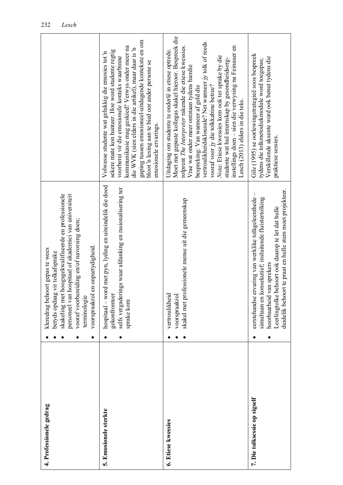| 4. Professionele gedrag      | kleredrag behoort gepas te wees                                                                                                                                                                                                                                                 |                                                                                                                                                                                                                                                                                                                                                                                                                                                                                                                                                                 |
|------------------------------|---------------------------------------------------------------------------------------------------------------------------------------------------------------------------------------------------------------------------------------------------------------------------------|-----------------------------------------------------------------------------------------------------------------------------------------------------------------------------------------------------------------------------------------------------------------------------------------------------------------------------------------------------------------------------------------------------------------------------------------------------------------------------------------------------------------------------------------------------------------|
|                              | hoogsgekwalifiseerde en professionele<br>hospitaal of akademici van universiteit<br>vooraf voorbereiding en/of navorsing doen;<br>en onpartydigheid.<br>betyds opdaag vir tolkafsprake<br>skakeling met<br>personeel van<br>voorspraakrol<br>terminologie                       |                                                                                                                                                                                                                                                                                                                                                                                                                                                                                                                                                                 |
| 5. Emosionele sterkte        | hospitaal - word met pyn, lyding en uiteindelik die dood<br>ings waar afdanking en rasionalisering ter<br>gekonfronteer<br>selfs vergaderi<br>sprake kom                                                                                                                        | gaping tussen emosioneel-uitdagende kontekste en om<br>kommunikasie mag geskied? Verwys onder meer na<br>die WVK (sien elders in die artikel), maar daar is 'n<br>sekere mate kon hanteer. Hoe word studente regtig<br>Volwasse studente wat gelukkig die emosies tot 'n<br>voorberei vir die emosionele konteks waarbinne<br>bloot in lesing aan te bied oor ander persone se<br>emosionele ervarings.                                                                                                                                                         |
| 6. Etiese kwessies           | skakel met professionele mense uit die gemeenskap<br>vertroulikheid<br>voorspraakrol                                                                                                                                                                                            | Moet met gepaste kollegas skakel hieroor. Bespreek die<br>vertroulikheidsklousule? Net wanneer jy tolk of reeds<br>instellings doen - sien die verwysing na Feinauer en<br>rolprent The Interpreter rakende die etiese kwessies.<br>Uitdaging om studente te onderlê in etiese optrede.<br>Nota: Etiese kwessies kom ook ter sprake by die<br>studente wat hul internskap by gesondheidsorg-<br>Vrae wat onder meer ontstaan tydens hierdie<br>vooraf voor jy die tolkkabine betree?<br>bespreking: Van wanneer af geld die<br>Lesch (2013) elders in die teks. |
| 7. Die tolksessie op sigself | duidelik behoort te praat en hulle stem moet projekteer.<br>$\mathbf{I}$<br>eerstehandse ervaring van werklike tolkgeleenthede<br>simultaan en konsekutief; insluitende fluistertolking<br>behoort ook daarop te let dat hulle<br>van sprekers<br>Leerlingtolke<br>hoorbaarheid | Gile (1995) se oorlewingstrategieë soos bespreek<br>Verskillende aksente word ook benut tydens die<br>tydens die tolkmetodiekmodule word toegepas;<br>praktiese sessies.                                                                                                                                                                                                                                                                                                                                                                                        |